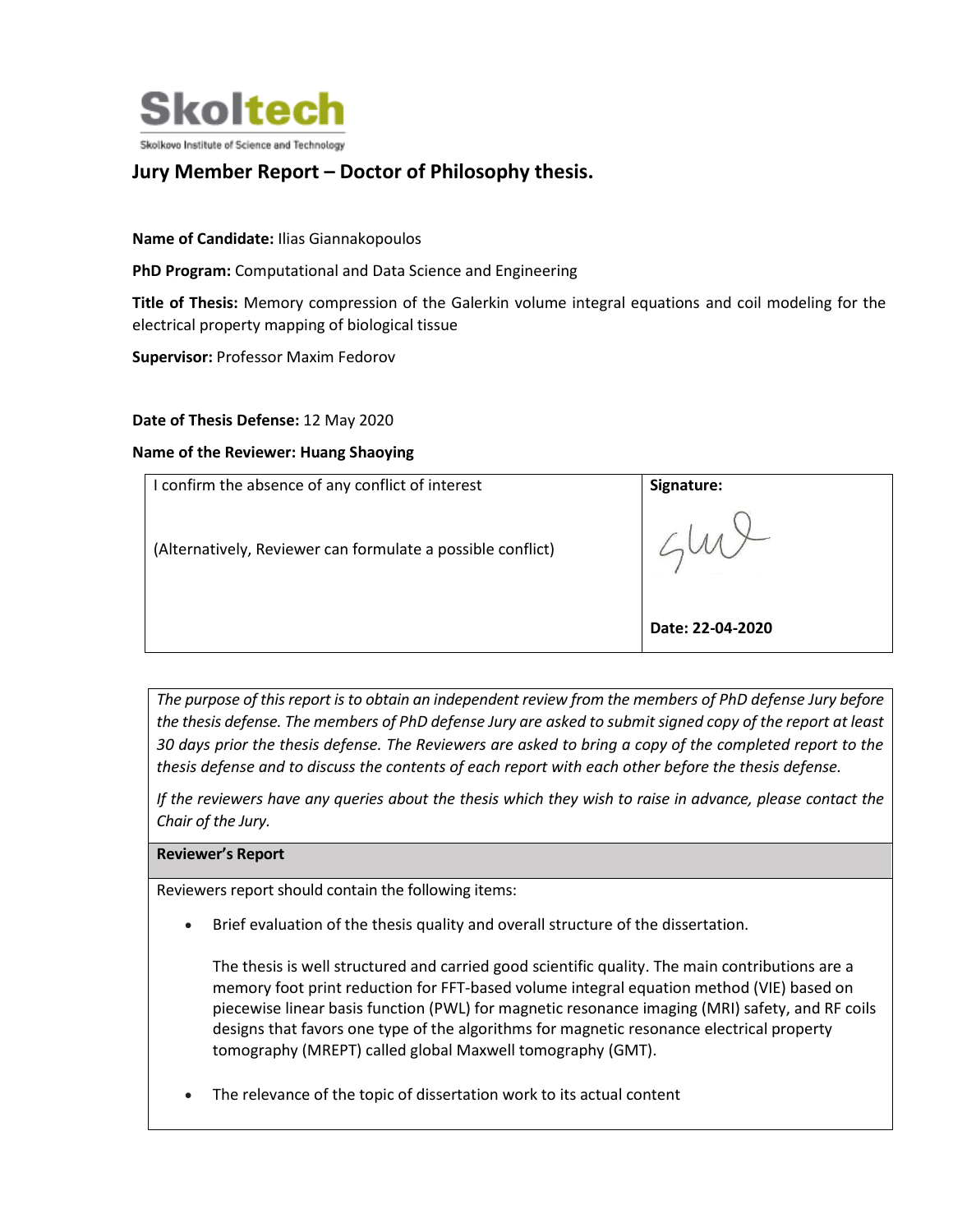

# **Jury Member Report – Doctor of Philosophy thesis.**

## **Name of Candidate:** Ilias Giannakopoulos

**PhD Program:** Computational and Data Science and Engineering

**Title of Thesis:** Memory compression of the Galerkin volume integral equations and coil modeling for the electrical property mapping of biological tissue

**Supervisor:** Professor Maxim Fedorov

### **Date of Thesis Defense:** 12 May 2020

#### **Name of the Reviewer: Huang Shaoying**

| I confirm the absence of any conflict of interest           | Signature:       |
|-------------------------------------------------------------|------------------|
| (Alternatively, Reviewer can formulate a possible conflict) |                  |
|                                                             | Date: 22-04-2020 |

*The purpose of this report is to obtain an independent review from the members of PhD defense Jury before the thesis defense. The members of PhD defense Jury are asked to submit signed copy of the report at least 30 days prior the thesis defense. The Reviewers are asked to bring a copy of the completed report to the thesis defense and to discuss the contents of each report with each other before the thesis defense.* 

*If the reviewers have any queries about the thesis which they wish to raise in advance, please contact the Chair of the Jury.*

#### **Reviewer's Report**

Reviewers report should contain the following items:

• Brief evaluation of the thesis quality and overall structure of the dissertation.

The thesis is well structured and carried good scientific quality. The main contributions are a memory foot print reduction for FFT-based volume integral equation method (VIE) based on piecewise linear basis function (PWL) for magnetic resonance imaging (MRI) safety, and RF coils designs that favors one type of the algorithms for magnetic resonance electrical property tomography (MREPT) called global Maxwell tomography (GMT).

The relevance of the topic of dissertation work to its actual content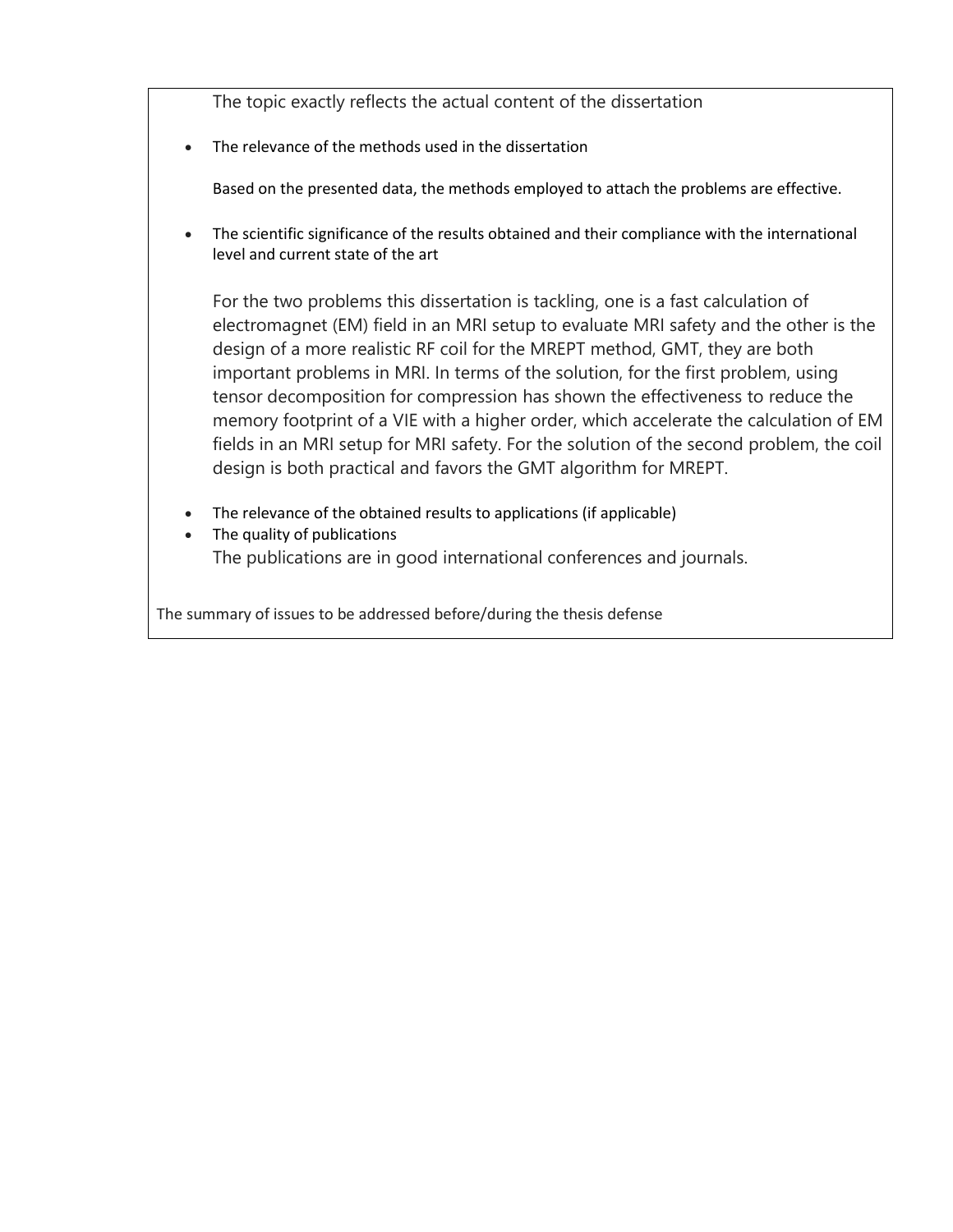The topic exactly reflects the actual content of the dissertation

• The relevance of the methods used in the dissertation

Based on the presented data, the methods employed to attach the problems are effective.

• The scientific significance of the results obtained and their compliance with the international level and current state of the art

For the two problems this dissertation is tackling, one is a fast calculation of electromagnet (EM) field in an MRI setup to evaluate MRI safety and the other is the design of a more realistic RF coil for the MREPT method, GMT, they are both important problems in MRI. In terms of the solution, for the first problem, using tensor decomposition for compression has shown the effectiveness to reduce the memory footprint of a VIE with a higher order, which accelerate the calculation of EM fields in an MRI setup for MRI safety. For the solution of the second problem, the coil design is both practical and favors the GMT algorithm for MREPT.

- The relevance of the obtained results to applications (if applicable)
- The quality of publications The publications are in good international conferences and journals.

The summary of issues to be addressed before/during the thesis defense